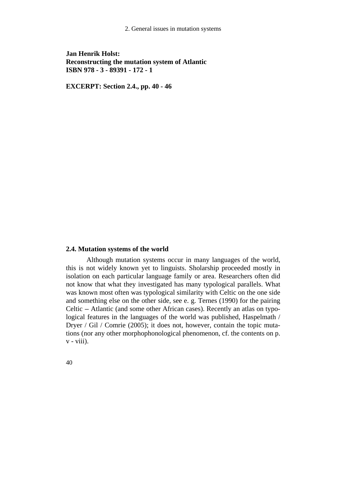2. General issues in mutation systems

## **Jan Henrik Holst: Reconstructing the mutation system of Atlantic ISBN 978 - 3 - 89391 - 172 - 1**

**EXCERPT: Section 2.4., pp. 40 - 46** 

## **2.4. Mutation systems of the world**

 Although mutation systems occur in many languages of the world, this is not widely known yet to linguists. Sholarship proceeded mostly in isolation on each particular language family or area. Researchers often did not know that what they investigated has many typological parallels. What was known most often was typological similarity with Celtic on the one side and something else on the other side, see e. g. Ternes (1990) for the pairing Celtic - Atlantic (and some other African cases). Recently an atlas on typological features in the languages of the world was published, Haspelmath / Dryer / Gil / Comrie (2005); it does not, however, contain the topic mutations (nor any other morphophonological phenomenon, cf. the contents on p. v - viii).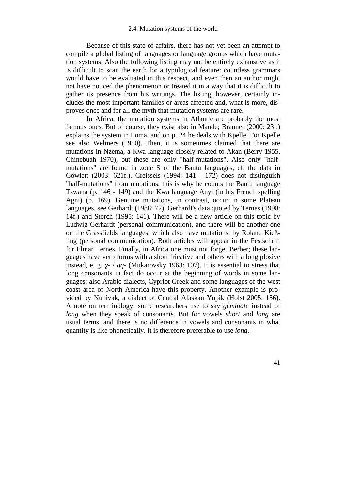Because of this state of affairs, there has not yet been an attempt to compile a global listing of languages or language groups which have mutation systems. Also the following listing may not be entirely exhaustive as it is difficult to scan the earth for a typological feature: countless grammars would have to be evaluated in this respect, and even then an author might not have noticed the phenomenon or treated it in a way that it is difficult to gather its presence from his writings. The listing, however, certainly includes the most important families or areas affected and, what is more, disproves once and for all the myth that mutation systems are rare.

 In Africa, the mutation systems in Atlantic are probably the most famous ones. But of course, they exist also in Mande; Brauner (2000: 23f.) explains the system in Loma, and on p. 24 he deals with Kpelle. For Kpelle see also Welmers (1950). Then, it is sometimes claimed that there are mutations in Nzema, a Kwa language closely related to Akan (Berry 1955, Chinebuah 1970), but these are only "half-mutations". Also only "halfmutations" are found in zone S of the Bantu languages, cf. the data in Gowlett (2003: 621f.). Creissels (1994: 141 - 172) does not distinguish "half-mutations" from mutations; this is why he counts the Bantu language Tswana (p. 146 - 149) and the Kwa language Anyi (in his French spelling Agni) (p. 169). Genuine mutations, in contrast, occur in some Plateau languages, see Gerhardt (1988: 72), Gerhardt's data quoted by Ternes (1990: 14f.) and Storch (1995: 141). There will be a new article on this topic by Ludwig Gerhardt (personal communication), and there will be another one on the Grassfields languages, which also have mutations, by Roland Kießling (personal communication). Both articles will appear in the Festschrift for Elmar Ternes. Finally, in Africa one must not forget Berber; these languages have verb forms with a short fricative and others with a long plosive instead, e. g.  $x$ - / *qq*- (Mukarovsky 1963: 107). It is essential to stress that long consonants in fact do occur at the beginning of words in some languages; also Arabic dialects, Cypriot Greek and some languages of the west coast area of North America have this property. Another example is provided by Nunivak, a dialect of Central Alaskan Yupik (Holst 2005: 156). A note on terminology: some researchers use to say *geminate* instead of *long* when they speak of consonants. But for vowels *short* and *long* are usual terms, and there is no difference in vowels and consonants in what quantity is like phonetically. It is therefore preferable to use *long*.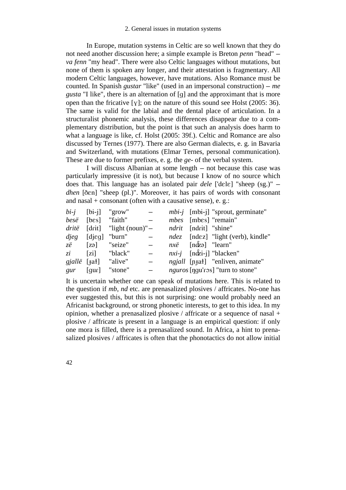In Europe, mutation systems in Celtic are so well known that they do not need another discussion here; a simple example is Breton *penn* "head" *va fenn* "my head". There were also Celtic languages without mutations, but none of them is spoken any longer, and their attestation is fragmentary. All modern Celtic languages, however, have mutations. Also Romance must be counted. In Spanish *gustar* "like" (used in an impersonal construction) – *me gusta* "I like", there is an alternation of [g] and the approximant that is more open than the fricative [ $\gamma$ ]; on the nature of this sound see Holst (2005: 36). The same is valid for the labial and the dental place of articulation. In a structuralist phonemic analysis, these differences disappear due to a complementary distribution, but the point is that such an analysis does harm to what a language is like, cf. Holst (2005: 39f.). Celtic and Romance are also discussed by Ternes (1977). There are also German dialects, e. g. in Bavaria and Switzerland, with mutations (Elmar Ternes, personal communication). These are due to former prefixes, e. g. the *ge*- of the verbal system.

I will discuss Albanian at some length – not because this case was particularly impressive (it is not), but because I know of no source which does that. This language has an isolated pair *dele* ['dele] "sheep (sg.)" – *dhen* [den] "sheep (pl.)". Moreover, it has pairs of words with consonant and nasal + consonant (often with a causative sense), e.  $g$ .:

| $bi-i$ [bi-i]                |               | "grow"                                 |  |                                        | $mbi-j$ [mbi-j] "sprout, germinate"                  |
|------------------------------|---------------|----------------------------------------|--|----------------------------------------|------------------------------------------------------|
| besë                         | [bes] "faith" |                                        |  |                                        | <i>mbes</i> [mbes] "remain"                          |
|                              |               | <i>dritë</i> $[drit]$ "light (noun)" – |  | <i>ndrit</i> [ndrit] "shine"           |                                                      |
| djeg                         | [dieq]        | "burn"                                 |  |                                        | ndez [ndez] "light (verb), kindle"                   |
| $z\ddot{e}$ [zə]             |               | "seize"                                |  | $nx\ddot{e}$ [no $\ddot{z}$ a] "learn" |                                                      |
| $z_{i}$                      | [zi]          | "black"                                |  |                                        | $nxi-i$ [ndzi-j] "blacken"                           |
| $gjall\ddot{e}$ [ $\{at\}$ ] |               | "alive"                                |  |                                        | <i>ngjall</i> [n <sub>tat</sub> ] "enliven, animate" |
| gur                          | [qur]         | "stone"                                |  |                                        | <i>nguros</i> [ngu'ros] "turn to stone"              |

It is uncertain whether one can speak of mutations here. This is related to the question if *mb*, *nd* etc. are prenasalized plosives / affricates. No-one has ever suggested this, but this is not surprising: one would probably need an Africanist background, or strong phonetic interests, to get to this idea. In my opinion, whether a prenasalized plosive / affricate or a sequence of nasal + plosive / affricate is present in a language is an empirical question: if only one mora is filled, there is a prenasalized sound. In Africa, a hint to prenasalized plosives / affricates is often that the phonotactics do not allow initial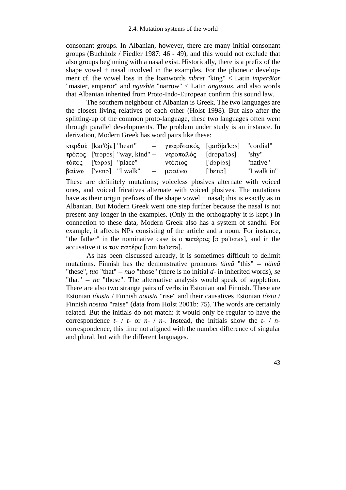consonant groups. In Albanian, however, there are many initial consonant groups (Buchholz / Fiedler 1987: 46 - 49), and this would not exclude that also groups beginning with a nasal exist. Historically, there is a prefix of the shape vowel  $+$  nasal involved in the examples. For the phonetic development cf. the vowel loss in the loanwords *mbret* "king" < Latin *imperátor* "master, emperor" and *ngushtë* "narrow" < Latin *angustus*, and also words that Albanian inherited from Proto-Indo-European confirm this sound law.

 The southern neighbour of Albanian is Greek. The two languages are the closest living relatives of each other (Holst 1998). But also after the splitting-up of the common proto-language, these two languages often went through parallel developments. The problem under study is an instance. In derivation, Modern Greek has word pairs like these:

| καρδιά [kar'ðja] "heart"                             | - γκαρδιακός [garðjaˈkɔs] |                 | "cordial"   |
|------------------------------------------------------|---------------------------|-----------------|-------------|
| τρόπος ['tropos] "way, kind" – ντροπαλός [dropa'los] |                           |                 | "shy"       |
| $\tau$ ó $\pi$ o $\varsigma$ ['topos] "place"        | – ντόπιος                 | $[$ 'dopjos $]$ | "native"    |
| $\beta\alpha\alpha\omega$ ['veno] "I walk"           | $-\mu\pi\alpha\omega$     | [then]          | "I walk in" |

These are definitely mutations; voiceless plosives alternate with voiced ones, and voiced fricatives alternate with voiced plosives. The mutations have as their origin prefixes of the shape vowel + nasal; this is exactly as in Albanian. But Modern Greek went one step further because the nasal is not present any longer in the examples. (Only in the orthography it is kept.) In connection to these data, Modern Greek also has a system of sandhi. For example, it affects NPs consisting of the article and a noun. For instance, "the father" in the nominative case is o  $\pi \alpha \tau \epsilon \rho \alpha \zeta$  [o pa'teras], and in the accusative it is  $\tau$ ov  $\pi \alpha \tau \epsilon$  p $\alpha$  [tom ba'tera].

 As has been discussed already, it is sometimes difficult to delimit mutations. Finnish has the demonstrative pronouns *tämä* "this" – *nämä* "these",  $\mu$  that" –  $\mu$  those" (there is no initial  $d$ - in inherited words), *se* "that" - *ne* "those". The alternative analysis would speak of suppletion. There are also two strange pairs of verbs in Estonian and Finnish. These are Estonian *tõusta* / Finnish *nousta* "rise" and their causatives Estonian *tõsta* / Finnish *nostaa* "raise" (data from Holst 2001b: 75). The words are certainly related. But the initials do not match: it would only be regular to have the correspondence *t*- / *t*- or *n*- / *n*-. Instead, the initials show the *t*- / *n*correspondence, this time not aligned with the number difference of singular and plural, but with the different languages.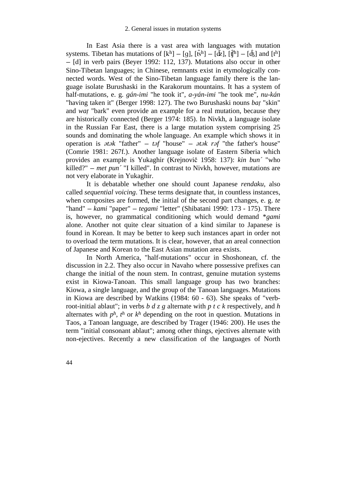In East Asia there is a vast area with languages with mutation systems. Tibetan has mutations of  $[k^h] - [g]$ ,  $[\hat{\mathbf{t}}^h] - [\hat{\mathbf{t}}^h]$ ,  $[\hat{\mathbf{t}}^h] - [\hat{\mathbf{t}}^h]$  and  $[\mathbf{t}^h]$ - [d] in verb pairs (Beyer 1992: 112, 137). Mutations also occur in other Sino-Tibetan languages; in Chinese, remnants exist in etymologically connected words. West of the Sino-Tibetan language family there is the language isolate Burushaski in the Karakorum mountains. It has a system of half-mutations, e. g. *gán*-*imi* "he took it", *a*-*yán*-*imi* "he took me", *nu*-*kán* "having taken it" (Berger 1998: 127). The two Burushaski nouns *baT* "skin" and *wat* "bark" even provide an example for a real mutation, because they are historically connected (Berger 1974: 185). In Nivkh, a language isolate in the Russian Far East, there is a large mutation system comprising 25 sounds and dominating the whole language. An example which shows it in operation is *otok* "father" - *tof* "house" - *otok rof* "the father's house" (Comrie 1981: 267f.). Another language isolate of Eastern Siberia which provides an example is Yukaghir (Krejnovic 1958: 137): *kin bun´* "who killed?" - *met pun´* "I killed". In contrast to Nivkh, however, mutations are not very elaborate in Yukaghir.

 It is debatable whether one should count Japanese *rendaku*, also called *sequential voicing*. These terms designate that, in countless instances, when composites are formed, the initial of the second part changes, e. g. *te* "hand" - *kami* "paper" - *tegami* "letter" (Shibatani 1990: 173 - 175). There is, however, no grammatical conditioning which would demand \**gami* alone. Another not quite clear situation of a kind similar to Japanese is found in Korean. It may be better to keep such instances apart in order not to overload the term mutations. It is clear, however, that an areal connection of Japanese and Korean to the East Asian mutation area exists.

 In North America, "half-mutations" occur in Shoshonean, cf. the discussion in 2.2. They also occur in Navaho where possessive prefixes can change the initial of the noun stem. In contrast, genuine mutation systems exist in Kiowa-Tanoan. This small language group has two branches: Kiowa, a single language, and the group of the Tanoan languages. Mutations in Kiowa are described by Watkins (1984: 60 - 63). She speaks of "verbroot-initial ablaut"; in verbs *b d z g* alternate with *p t c k* respectively, and *h* alternates with  $p^h$ ,  $t^h$  or  $k^h$  depending on the root in question. Mutations in Taos, a Tanoan language, are described by Trager (1946: 200). He uses the term "initial consonant ablaut"; among other things, ejectives alternate with non-ejectives. Recently a new classification of the languages of North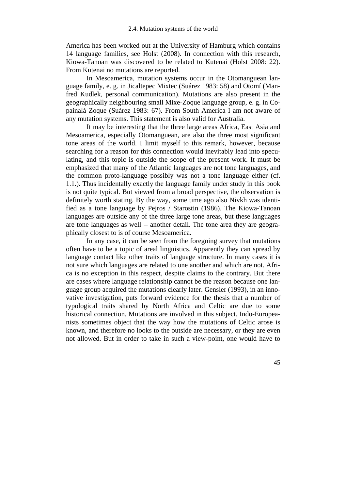America has been worked out at the University of Hamburg which contains 14 language families, see Holst (2008). In connection with this research, Kiowa-Tanoan was discovered to be related to Kutenai (Holst 2008: 22). From Kutenai no mutations are reported.

 In Mesoamerica, mutation systems occur in the Otomanguean language family, e. g. in Jicaltepec Mixtec (Suárez 1983: 58) and Otomí (Manfred Kudlek, personal communication). Mutations are also present in the geographically neighbouring small Mixe-Zoque language group, e. g. in Copainalá Zoque (Suárez 1983: 67). From South America I am not aware of any mutation systems. This statement is also valid for Australia.

 It may be interesting that the three large areas Africa, East Asia and Mesoamerica, especially Otomanguean, are also the three most significant tone areas of the world. I limit myself to this remark, however, because searching for a reason for this connection would inevitably lead into speculating, and this topic is outside the scope of the present work. It must be emphasized that many of the Atlantic languages are not tone languages, and the common proto-language possibly was not a tone language either (cf. 1.1.). Thus incidentally exactly the language family under study in this book is not quite typical. But viewed from a broad perspective, the observation is definitely worth stating. By the way, some time ago also Nivkh was identified as a tone language by Pejros / Starostin (1986). The Kiowa-Tanoan languages are outside any of the three large tone areas, but these languages are tone languages as well  $-$  another detail. The tone area they are geographically closest to is of course Mesoamerica.

 In any case, it can be seen from the foregoing survey that mutations often have to be a topic of areal linguistics. Apparently they can spread by language contact like other traits of language structure. In many cases it is not sure which languages are related to one another and which are not. Africa is no exception in this respect, despite claims to the contrary. But there are cases where language relationship cannot be the reason because one language group acquired the mutations clearly later. Gensler (1993), in an innovative investigation, puts forward evidence for the thesis that a number of typological traits shared by North Africa and Celtic are due to some historical connection. Mutations are involved in this subject. Indo-Europeanists sometimes object that the way how the mutations of Celtic arose is known, and therefore no looks to the outside are necessary, or they are even not allowed. But in order to take in such a view-point, one would have to